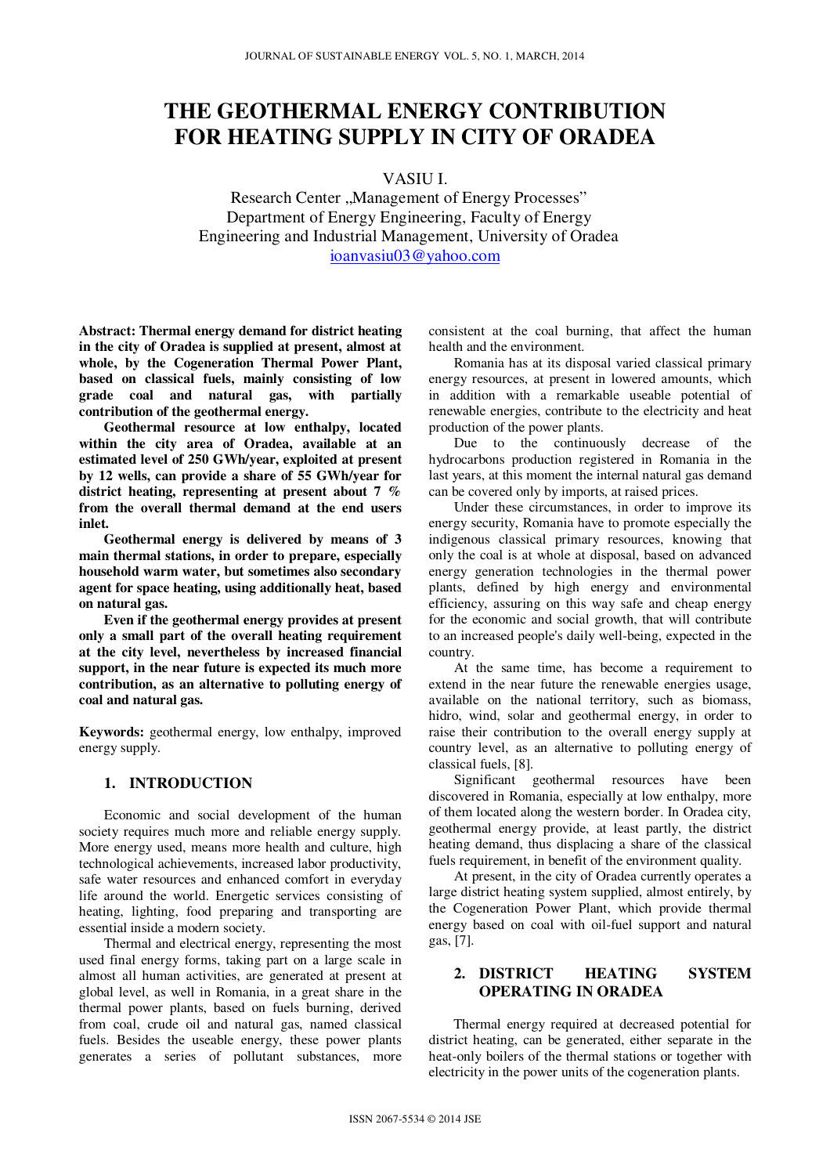# **THE GEOTHERMAL ENERGY CONTRIBUTION FOR HEATING SUPPLY IN CITY OF ORADEA**

VASIU I.

Research Center ,,Management of Energy Processes" Department of Energy Engineering, Faculty of Energy Engineering and Industrial Management, University of Oradea ioanvasiu03@yahoo.com

**Abstract: Thermal energy demand for district heating in the city of Oradea is supplied at present, almost at whole, by the Cogeneration Thermal Power Plant, based on classical fuels, mainly consisting of low grade coal and natural gas, with partially contribution of the geothermal energy.** 

**Geothermal resource at low enthalpy, located within the city area of Oradea, available at an estimated level of 250 GWh/year, exploited at present by 12 wells, can provide a share of 55 GWh/year for district heating, representing at present about 7 % from the overall thermal demand at the end users inlet.** 

**Geothermal energy is delivered by means of 3 main thermal stations, in order to prepare, especially household warm water, but sometimes also secondary agent for space heating, using additionally heat, based on natural gas.** 

**Even if the geothermal energy provides at present only a small part of the overall heating requirement at the city level, nevertheless by increased financial support, in the near future is expected its much more contribution, as an alternative to polluting energy of coal and natural gas.**

**Keywords:** geothermal energy, low enthalpy, improved energy supply.

## **1. INTRODUCTION**

Economic and social development of the human society requires much more and reliable energy supply. More energy used, means more health and culture, high technological achievements, increased labor productivity, safe water resources and enhanced comfort in everyday life around the world. Energetic services consisting of heating, lighting, food preparing and transporting are essential inside a modern society.

Thermal and electrical energy, representing the most used final energy forms, taking part on a large scale in almost all human activities, are generated at present at global level, as well in Romania, in a great share in the thermal power plants, based on fuels burning, derived from coal, crude oil and natural gas, named classical fuels. Besides the useable energy, these power plants generates a series of pollutant substances, more consistent at the coal burning, that affect the human health and the environment.

Romania has at its disposal varied classical primary energy resources, at present in lowered amounts, which in addition with a remarkable useable potential of renewable energies, contribute to the electricity and heat production of the power plants.

Due to the continuously decrease of the hydrocarbons production registered in Romania in the last years, at this moment the internal natural gas demand can be covered only by imports, at raised prices.

Under these circumstances, in order to improve its energy security, Romania have to promote especially the indigenous classical primary resources, knowing that only the coal is at whole at disposal, based on advanced energy generation technologies in the thermal power plants, defined by high energy and environmental efficiency, assuring on this way safe and cheap energy for the economic and social growth, that will contribute to an increased people's daily well-being, expected in the country.

At the same time, has become a requirement to extend in the near future the renewable energies usage, available on the national territory, such as biomass, hidro, wind, solar and geothermal energy, in order to raise their contribution to the overall energy supply at country level, as an alternative to polluting energy of classical fuels, [8].

Significant geothermal resources have been discovered in Romania, especially at low enthalpy, more of them located along the western border. In Oradea city, geothermal energy provide, at least partly, the district heating demand, thus displacing a share of the classical fuels requirement, in benefit of the environment quality.

At present, in the city of Oradea currently operates a large district heating system supplied, almost entirely, by the Cogeneration Power Plant, which provide thermal energy based on coal with oil-fuel support and natural gas, [7].

## **2. DISTRICT HEATING SYSTEM OPERATING IN ORADEA**

Thermal energy required at decreased potential for district heating, can be generated, either separate in the heat-only boilers of the thermal stations or together with electricity in the power units of the cogeneration plants.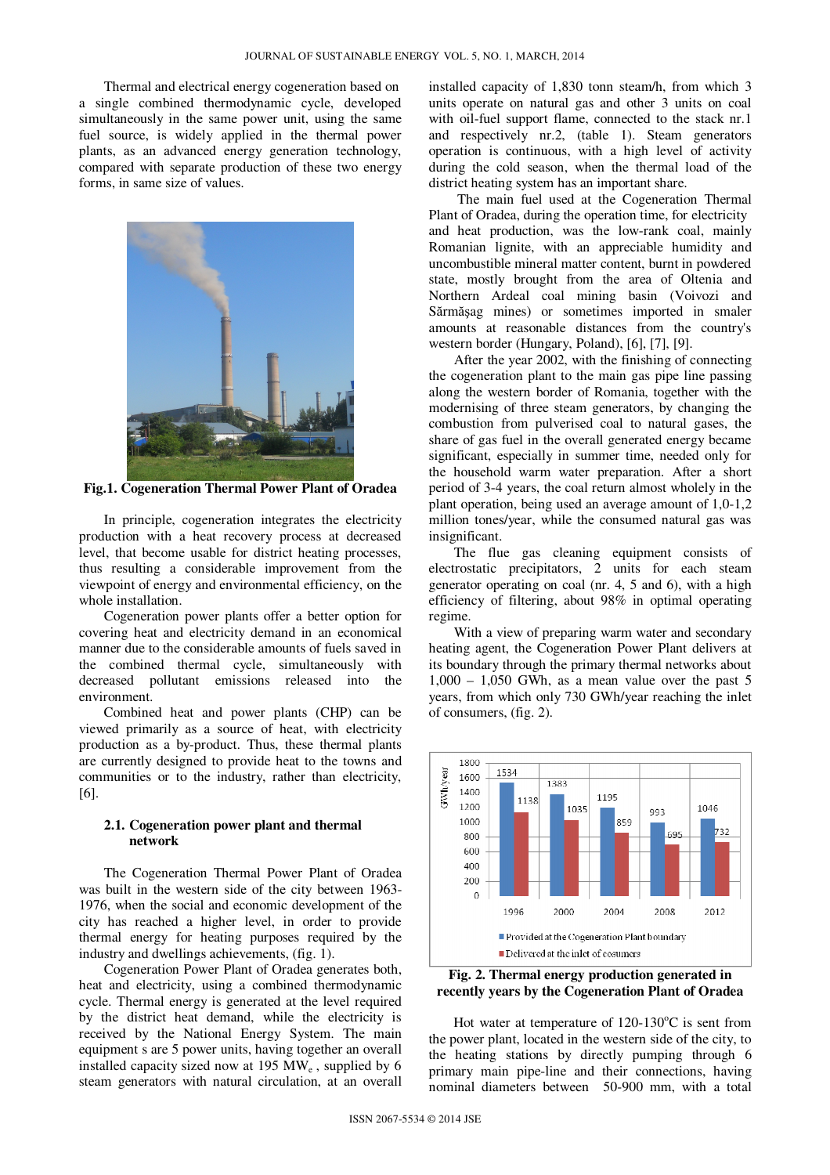Thermal and electrical energy cogeneration based on a single combined thermodynamic cycle, developed simultaneously in the same power unit, using the same fuel source, is widely applied in the thermal power plants, as an advanced energy generation technology, compared with separate production of these two energy forms, in same size of values.



**Fig.1. Cogeneration Thermal Power Plant of Oradea**

In principle, cogeneration integrates the electricity production with a heat recovery process at decreased level, that become usable for district heating processes, thus resulting a considerable improvement from the viewpoint of energy and environmental efficiency, on the whole installation.

Cogeneration power plants offer a better option for covering heat and electricity demand in an economical manner due to the considerable amounts of fuels saved in the combined thermal cycle, simultaneously with decreased pollutant emissions released into the environment.

Combined heat and power plants (CHP) can be viewed primarily as a source of heat, with electricity production as a by-product. Thus, these thermal plants are currently designed to provide heat to the towns and communities or to the industry, rather than electricity, [6].

#### **2.1. Cogeneration power plant and thermal network**

The Cogeneration Thermal Power Plant of Oradea was built in the western side of the city between 1963- 1976, when the social and economic development of the city has reached a higher level, in order to provide thermal energy for heating purposes required by the industry and dwellings achievements, (fig. 1).

Cogeneration Power Plant of Oradea generates both, heat and electricity, using a combined thermodynamic cycle. Thermal energy is generated at the level required by the district heat demand, while the electricity is received by the National Energy System. The main equipment s are 5 power units, having together an overall installed capacity sized now at 195  $MW_e$ , supplied by 6 steam generators with natural circulation, at an overall

installed capacity of 1,830 tonn steam/h, from which 3 units operate on natural gas and other 3 units on coal with oil-fuel support flame, connected to the stack nr.1 and respectively nr.2, (table 1). Steam generators operation is continuous, with a high level of activity during the cold season, when the thermal load of the district heating system has an important share.

 The main fuel used at the Cogeneration Thermal Plant of Oradea, during the operation time, for electricity and heat production, was the low-rank coal, mainly Romanian lignite, with an appreciable humidity and uncombustible mineral matter content, burnt in powdered state, mostly brought from the area of Oltenia and Northern Ardeal coal mining basin (Voivozi and Sărmăşag mines) or sometimes imported in smaler amounts at reasonable distances from the country's western border (Hungary, Poland), [6], [7], [9].

After the year 2002, with the finishing of connecting the cogeneration plant to the main gas pipe line passing along the western border of Romania, together with the modernising of three steam generators, by changing the combustion from pulverised coal to natural gases, the share of gas fuel in the overall generated energy became significant, especially in summer time, needed only for the household warm water preparation. After a short period of 3-4 years, the coal return almost wholely in the plant operation, being used an average amount of 1,0-1,2 million tones/year, while the consumed natural gas was insignificant.

The flue gas cleaning equipment consists of electrostatic precipitators, 2 units for each steam generator operating on coal (nr. 4, 5 and 6), with a high efficiency of filtering, about 98% in optimal operating regime.

With a view of preparing warm water and secondary heating agent, the Cogeneration Power Plant delivers at its boundary through the primary thermal networks about  $1,000 - 1,050$  GWh, as a mean value over the past 5 years, from which only 730 GWh/year reaching the inlet of consumers, (fig. 2).



**Fig. 2. Thermal energy production generated in recently years by the Cogeneration Plant of Oradea**

Hot water at temperature of  $120-130^{\circ}$ C is sent from the power plant, located in the western side of the city, to the heating stations by directly pumping through 6 primary main pipe-line and their connections, having nominal diameters between 50-900 mm, with a total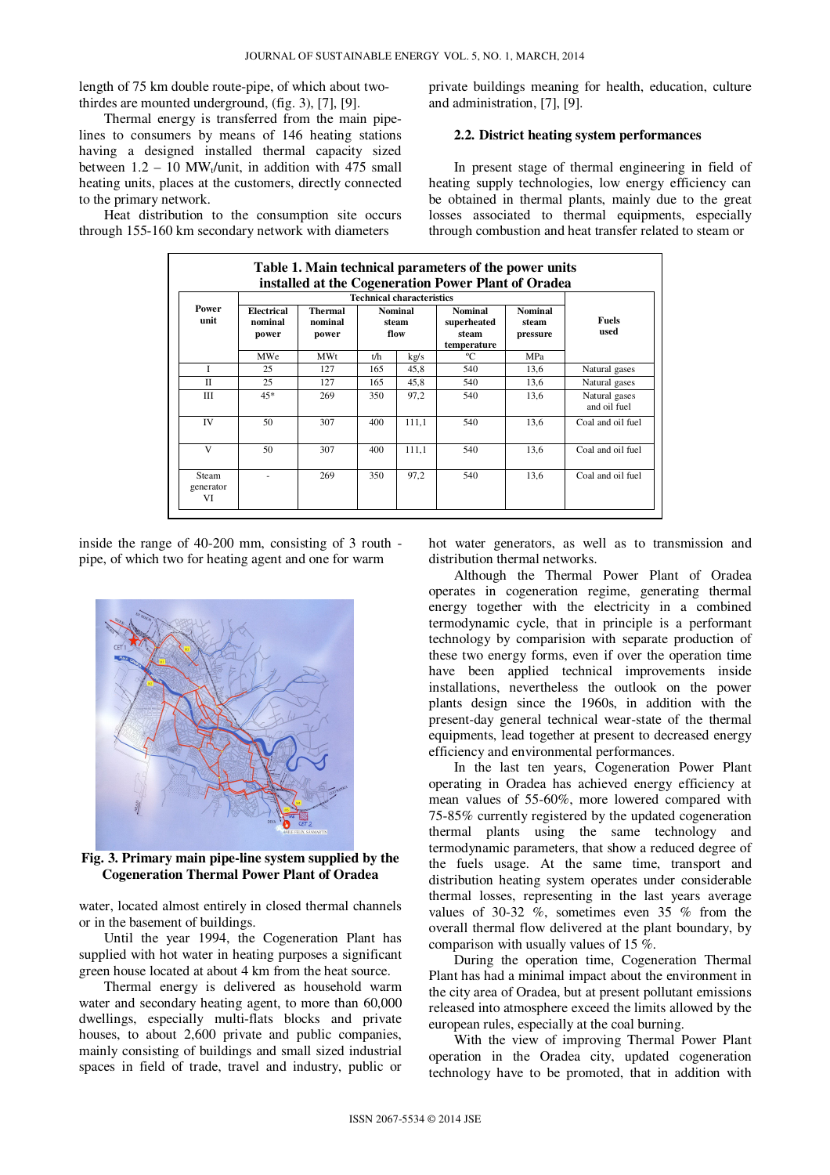length of 75 km double route-pipe, of which about twothirdes are mounted underground, (fig. 3), [7], [9].

Thermal energy is transferred from the main pipelines to consumers by means of 146 heating stations having a designed installed thermal capacity sized between  $1.2 - 10 \text{ MW}_t$ /unit, in addition with 475 small heating units, places at the customers, directly connected to the primary network.

Heat distribution to the consumption site occurs through 155-160 km secondary network with diameters

private buildings meaning for health, education, culture and administration, [7], [9].

## **2.2. District heating system performances**

In present stage of thermal engineering in field of heating supply technologies, low energy efficiency can be obtained in thermal plants, mainly due to the great losses associated to thermal equipments, especially through combustion and heat transfer related to steam or

|                          | installed at the Cogeneration Power Plant of Oradea                  |            |                                 |       |                                                       |                                     |                               |  |
|--------------------------|----------------------------------------------------------------------|------------|---------------------------------|-------|-------------------------------------------------------|-------------------------------------|-------------------------------|--|
| Power<br>unit            | Electrical<br><b>Thermal</b><br>nominal<br>nominal<br>power<br>power |            | <b>Nominal</b><br>steam<br>flow |       | <b>Nominal</b><br>superheated<br>steam<br>temperature | <b>Nominal</b><br>steam<br>pressure | <b>Fuels</b><br>used          |  |
|                          | <b>MWe</b>                                                           | <b>MWt</b> | t/h                             | kg/s  | °C                                                    | <b>MPa</b>                          |                               |  |
|                          | 25                                                                   | 127        | 165                             | 45,8  | 540                                                   | 13.6                                | Natural gases                 |  |
| $_{\rm II}$              | 25                                                                   | 127        | 165                             | 45,8  | 540                                                   | 13,6                                | Natural gases                 |  |
| Ш                        | $45*$                                                                | 269        | 350                             | 97,2  | 540                                                   | 13,6                                | Natural gases<br>and oil fuel |  |
| IV                       | 50                                                                   | 307        | 400                             | 111.1 | 540                                                   | 13.6                                | Coal and oil fuel             |  |
| V                        | 50                                                                   | 307        | 400                             | 111,1 | 540                                                   | 13,6                                | Coal and oil fuel             |  |
| Steam<br>generator<br>VI |                                                                      | 269        | 350                             | 97.2  | 540                                                   | 13.6                                | Coal and oil fuel             |  |

inside the range of 40-200 mm, consisting of 3 routh pipe, of which two for heating agent and one for warm



**Fig. 3. Primary main pipe-line system supplied by the Cogeneration Thermal Power Plant of Oradea** 

water, located almost entirely in closed thermal channels or in the basement of buildings.

Until the year 1994, the Cogeneration Plant has supplied with hot water in heating purposes a significant green house located at about 4 km from the heat source.

Thermal energy is delivered as household warm water and secondary heating agent, to more than 60,000 dwellings, especially multi-flats blocks and private houses, to about 2,600 private and public companies, mainly consisting of buildings and small sized industrial spaces in field of trade, travel and industry, public or

hot water generators, as well as to transmission and distribution thermal networks.

Although the Thermal Power Plant of Oradea operates in cogeneration regime, generating thermal energy together with the electricity in a combined termodynamic cycle, that in principle is a performant technology by comparision with separate production of these two energy forms, even if over the operation time have been applied technical improvements inside installations, nevertheless the outlook on the power plants design since the 1960s, in addition with the present-day general technical wear-state of the thermal equipments, lead together at present to decreased energy efficiency and environmental performances.

In the last ten years, Cogeneration Power Plant operating in Oradea has achieved energy efficiency at mean values of 55-60%, more lowered compared with 75-85% currently registered by the updated cogeneration thermal plants using the same technology and termodynamic parameters, that show a reduced degree of the fuels usage. At the same time, transport and distribution heating system operates under considerable thermal losses, representing in the last years average values of 30-32 %, sometimes even 35 % from the overall thermal flow delivered at the plant boundary, by comparison with usually values of 15 %.

During the operation time, Cogeneration Thermal Plant has had a minimal impact about the environment in the city area of Oradea, but at present pollutant emissions released into atmosphere exceed the limits allowed by the european rules, especially at the coal burning.

With the view of improving Thermal Power Plant operation in the Oradea city, updated cogeneration technology have to be promoted, that in addition with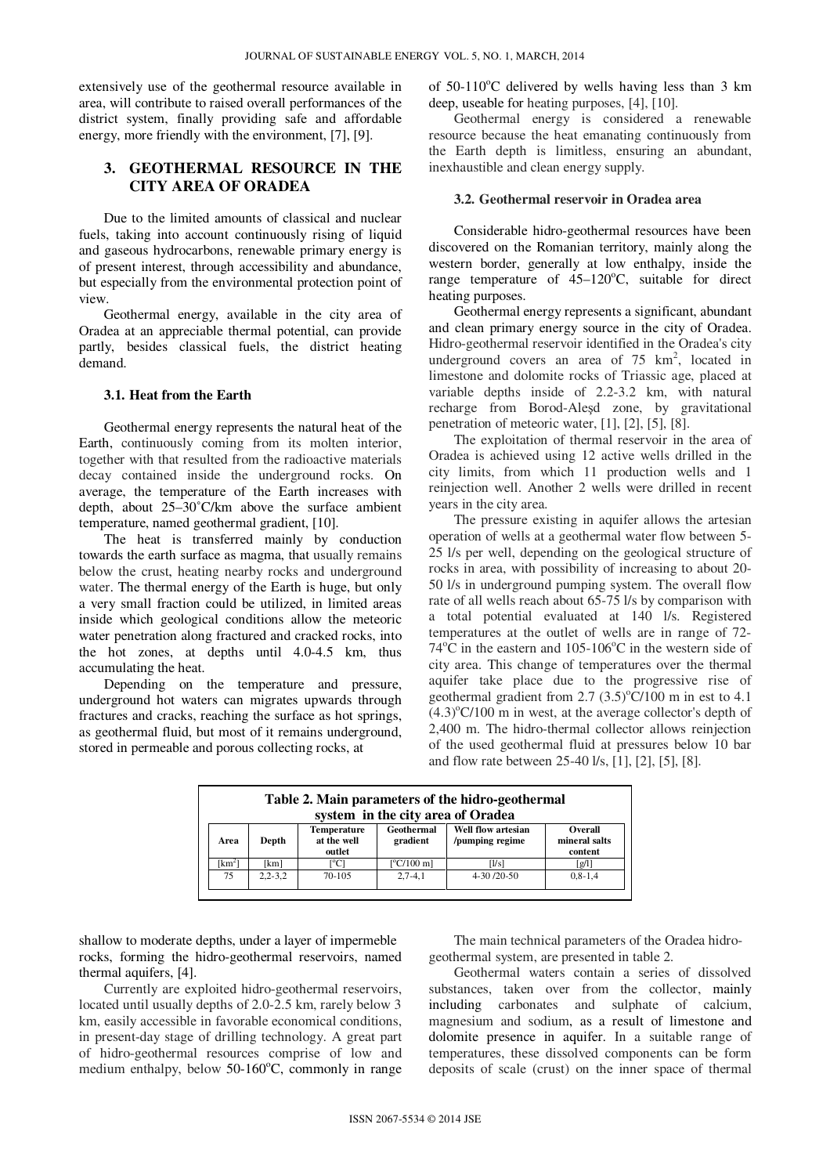extensively use of the geothermal resource available in area, will contribute to raised overall performances of the district system, finally providing safe and affordable energy, more friendly with the environment, [7], [9].

# **3. GEOTHERMAL RESOURCE IN THE CITY AREA OF ORADEA**

Due to the limited amounts of classical and nuclear fuels, taking into account continuously rising of liquid and gaseous hydrocarbons, renewable primary energy is of present interest, through accessibility and abundance, but especially from the environmental protection point of view.

Geothermal energy, available in the city area of Oradea at an appreciable thermal potential, can provide partly, besides classical fuels, the district heating demand.

#### **3.1. Heat from the Earth**

Geothermal energy represents the natural heat of the Earth, continuously coming from its molten interior, together with that resulted from the radioactive materials decay contained inside the underground rocks. On average, the temperature of the Earth increases with depth, about 25–30˚C/km above the surface ambient temperature, named geothermal gradient, [10].

The heat is transferred mainly by conduction towards the earth surface as magma, that usually remains below the crust, heating nearby rocks and underground water. The thermal energy of the Earth is huge, but only a very small fraction could be utilized, in limited areas inside which geological conditions allow the meteoric water penetration along fractured and cracked rocks, into the hot zones, at depths until 4.0-4.5 km, thus accumulating the heat.

Depending on the temperature and pressure, underground hot waters can migrates upwards through fractures and cracks, reaching the surface as hot springs, as geothermal fluid, but most of it remains underground, stored in permeable and porous collecting rocks, at

of  $50-110^{\circ}$ C delivered by wells having less than 3 km deep, useable for heating purposes, [4], [10].

Geothermal energy is considered a renewable resource because the heat emanating continuously from the Earth depth is limitless, ensuring an abundant, inexhaustible and clean energy supply.

#### **3.2. Geothermal reservoir in Oradea area**

Considerable hidro-geothermal resources have been discovered on the Romanian territory, mainly along the western border, generally at low enthalpy, inside the range temperature of  $45-120^{\circ}$ C, suitable for direct heating purposes.

Geothermal energy represents a significant, abundant and clean primary energy source in the city of Oradea. Hidro-geothermal reservoir identified in the Oradea's city underground covers an area of  $75 \text{ km}^2$ , located in limestone and dolomite rocks of Triassic age, placed at variable depths inside of 2.2-3.2 km, with natural recharge from Borod-Aleşd zone, by gravitational penetration of meteoric water, [1], [2], [5], [8].

The exploitation of thermal reservoir in the area of Oradea is achieved using 12 active wells drilled in the city limits, from which 11 production wells and 1 reinjection well. Another 2 wells were drilled in recent years in the city area.

The pressure existing in aquifer allows the artesian operation of wells at a geothermal water flow between 5- 25 l/s per well, depending on the geological structure of rocks in area, with possibility of increasing to about 20- 50 l/s in underground pumping system. The overall flow rate of all wells reach about 65-75 l/s by comparison with a total potential evaluated at 140 l/s. Registered temperatures at the outlet of wells are in range of 72- 74 $^{\circ}$ C in the eastern and 105-106 $^{\circ}$ C in the western side of city area. This change of temperatures over the thermal aquifer take place due to the progressive rise of geothermal gradient from  $2.7$   $(3.5)$ <sup>o</sup>C/100 m in est to 4.1  $(4.3)^{\circ}$ C/100 m in west, at the average collector's depth of 2,400 m. The hidro-thermal collector allows reinjection of the used geothermal fluid at pressures below 10 bar and flow rate between 25-40 l/s, [1], [2], [5], [8].

| Table 2. Main parameters of the hidro-geothermal<br>system in the city area of Oradea |           |                                                                       |                    |                                              |                                     |  |  |  |
|---------------------------------------------------------------------------------------|-----------|-----------------------------------------------------------------------|--------------------|----------------------------------------------|-------------------------------------|--|--|--|
| Depth<br>Area                                                                         |           | Geothermal<br><b>Temperature</b><br>at the well<br>gradient<br>outlet |                    | <b>Well flow artesian</b><br>/pumping regime | Overall<br>mineral salts<br>content |  |  |  |
| $[km^2]$                                                                              | [km]      | ľСl                                                                   | $\Gamma$ °C/100 m] | [1/s]                                        | $\lceil \frac{g}{1} \rceil$         |  |  |  |
| 75                                                                                    | $2,2-3,2$ | 70-105                                                                | $2,7-4,1$          | $4-30/20-50$                                 | $0.8 - 1.4$                         |  |  |  |

shallow to moderate depths, under a layer of impermeble rocks, forming the hidro-geothermal reservoirs, named thermal aquifers, [4].

Currently are exploited hidro-geothermal reservoirs, located until usually depths of 2.0-2.5 km, rarely below 3 km, easily accessible in favorable economical conditions, in present-day stage of drilling technology. A great part of hidro-geothermal resources comprise of low and medium enthalpy, below  $50-160^{\circ}$ C, commonly in range

The main technical parameters of the Oradea hidrogeothermal system, are presented in table 2.

Geothermal waters contain a series of dissolved substances, taken over from the collector, mainly including carbonates and sulphate of calcium, magnesium and sodium, as a result of limestone and dolomite presence in aquifer. In a suitable range of temperatures, these dissolved components can be form deposits of scale (crust) on the inner space of thermal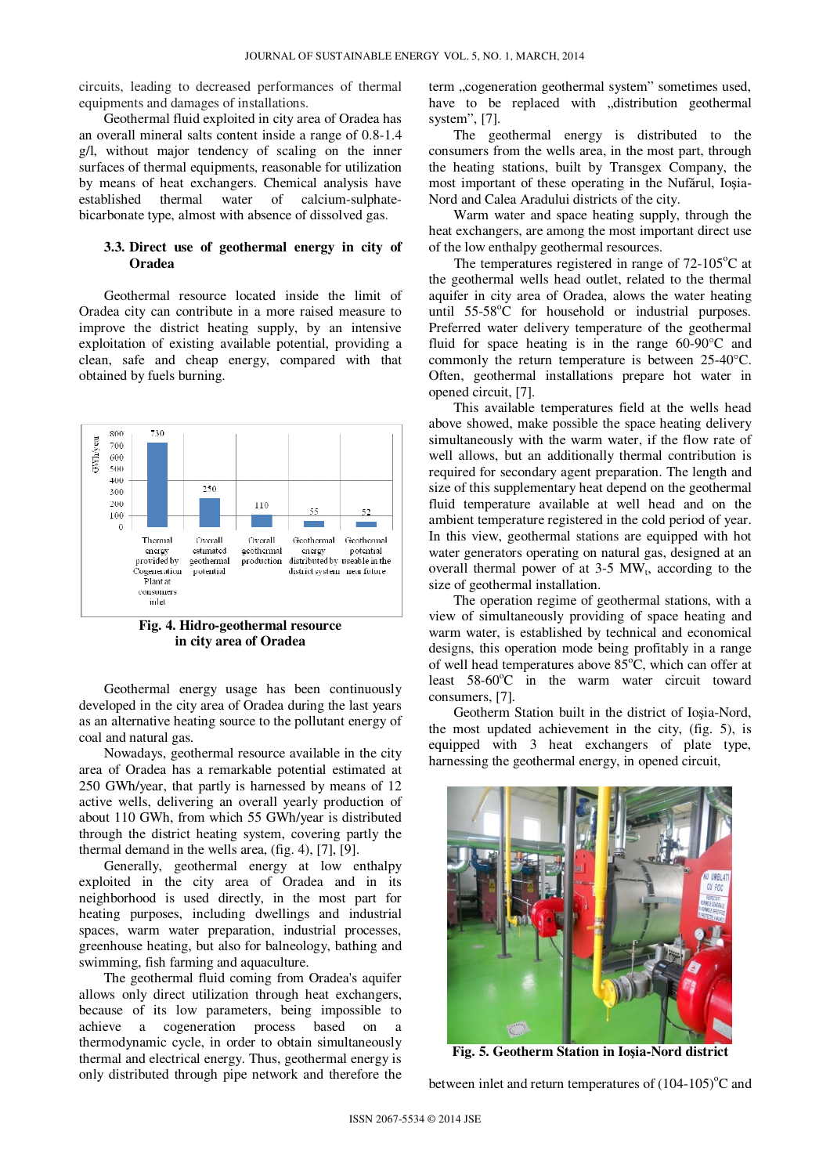circuits, leading to decreased performances of thermal equipments and damages of installations.

Geothermal fluid exploited in city area of Oradea has an overall mineral salts content inside a range of 0.8-1.4 g/l, without major tendency of scaling on the inner surfaces of thermal equipments, reasonable for utilization by means of heat exchangers. Chemical analysis have established thermal water of calcium-sulphatebicarbonate type, almost with absence of dissolved gas.

## **3.3. Direct use of geothermal energy in city of Oradea**

Geothermal resource located inside the limit of Oradea city can contribute in a more raised measure to improve the district heating supply, by an intensive exploitation of existing available potential, providing a clean, safe and cheap energy, compared with that obtained by fuels burning.



**Fig. 4. Hidro-geothermal resource in city area of Oradea** 

Geothermal energy usage has been continuously developed in the city area of Oradea during the last years as an alternative heating source to the pollutant energy of coal and natural gas.

Nowadays, geothermal resource available in the city area of Oradea has a remarkable potential estimated at 250 GWh/year, that partly is harnessed by means of 12 active wells, delivering an overall yearly production of about 110 GWh, from which 55 GWh/year is distributed through the district heating system, covering partly the thermal demand in the wells area, (fig. 4), [7], [9].

Generally, geothermal energy at low enthalpy exploited in the city area of Oradea and in its neighborhood is used directly, in the most part for heating purposes, including dwellings and industrial spaces, warm water preparation, industrial processes, greenhouse heating, but also for balneology, bathing and swimming, fish farming and aquaculture.

The geothermal fluid coming from Oradea's aquifer allows only direct utilization through heat exchangers, because of its low parameters, being impossible to achieve a cogeneration process based on a thermodynamic cycle, in order to obtain simultaneously thermal and electrical energy. Thus, geothermal energy is only distributed through pipe network and therefore the term ..cogeneration geothermal system" sometimes used, have to be replaced with "distribution geothermal system", [7].

The geothermal energy is distributed to the consumers from the wells area, in the most part, through the heating stations, built by Transgex Company, the most important of these operating in the Nufărul, Ioşia-Nord and Calea Aradului districts of the city.

Warm water and space heating supply, through the heat exchangers, are among the most important direct use of the low enthalpy geothermal resources.

The temperatures registered in range of  $72-105^{\circ}$ C at the geothermal wells head outlet, related to the thermal aquifer in city area of Oradea, alows the water heating until 55-58°C for household or industrial purposes. Preferred water delivery temperature of the geothermal fluid for space heating is in the range 60-90°C and commonly the return temperature is between 25-40°C. Often, geothermal installations prepare hot water in opened circuit, [7].

This available temperatures field at the wells head above showed, make possible the space heating delivery simultaneously with the warm water, if the flow rate of well allows, but an additionally thermal contribution is required for secondary agent preparation. The length and size of this supplementary heat depend on the geothermal fluid temperature available at well head and on the ambient temperature registered in the cold period of year. In this view, geothermal stations are equipped with hot water generators operating on natural gas, designed at an overall thermal power of at  $3-5$  MW<sub>t</sub>, according to the size of geothermal installation.

The operation regime of geothermal stations, with a view of simultaneously providing of space heating and warm water, is established by technical and economical designs, this operation mode being profitably in a range of well head temperatures above  $85^{\circ}$ C, which can offer at least  $58-60^{\circ}$ C in the warm water circuit toward consumers, [7].

Geotherm Station built in the district of Ioşia-Nord, the most updated achievement in the city, (fig. 5), is equipped with 3 heat exchangers of plate type, harnessing the geothermal energy, in opened circuit,



**Fig. 5. Geotherm Station in Io**ş**ia-Nord district**

between inlet and return temperatures of  $(104-105)$ <sup>o</sup>C and